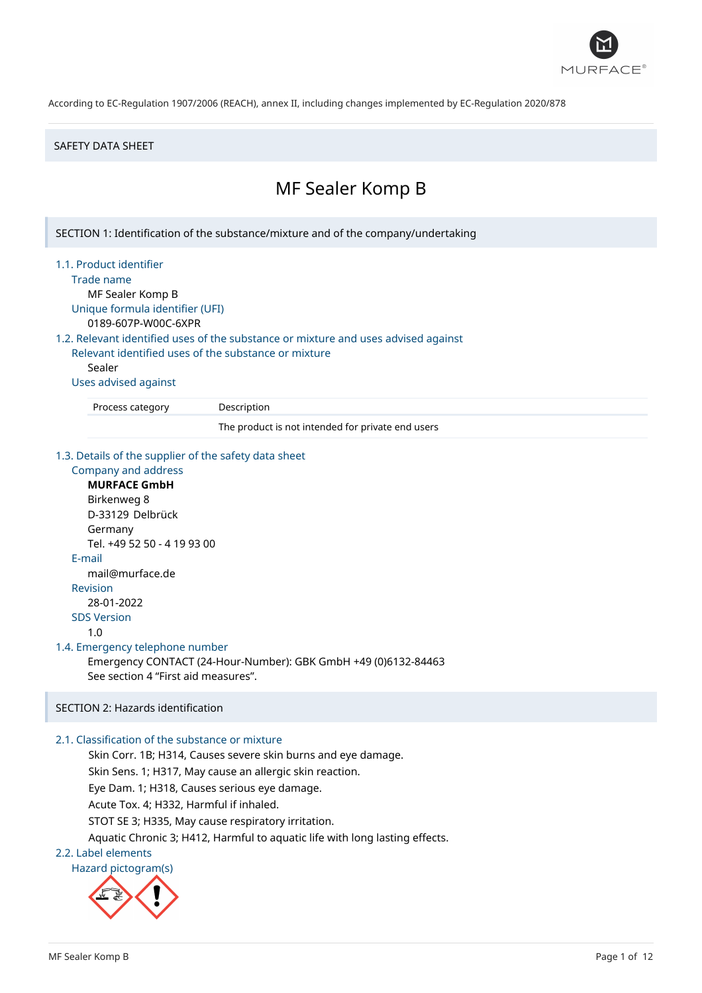

### SAFETY DATA SHEET

# MF Sealer Komp B

SECTION 1: Identification of the substance/mixture and of the company/undertaking

1.1. Product identifier

Trade name

MF Sealer Komp B Unique formula identifier (UFI) 0189-607P-W00C-6XPR

1.2. Relevant identified uses of the substance or mixture and uses advised against

Relevant identified uses of the substance or mixture Sealer

Uses advised against

Process category Description

The product is not intended for private end users

1.3. Details of the supplier of the safety data sheet

Company and address **MURFACE GmbH** Birkenweg 8 D-33129 Delbrück Germany Tel. +49 52 50 - 4 19 93 00 E-mail mail@murface.de Revision 28-01-2022 SDS Version 1.0 1.4. Emergency telephone number Emergency CONTACT (24-Hour-Number): GBK GmbH +49 (0)6132-84463 See section 4 "First aid measures".

# SECTION 2: Hazards identification

# 2.1. Classification of the substance or mixture

Skin Corr. 1B; H314, Causes severe skin burns and eye damage.

Skin Sens. 1; H317, May cause an allergic skin reaction.

Eye Dam. 1; H318, Causes serious eye damage.

Acute Tox. 4; H332, Harmful if inhaled.

STOT SE 3; H335, May cause respiratory irritation.

Aquatic Chronic 3; H412, Harmful to aquatic life with long lasting effects.

# 2.2. Label elements

Hazard pictogram(s)

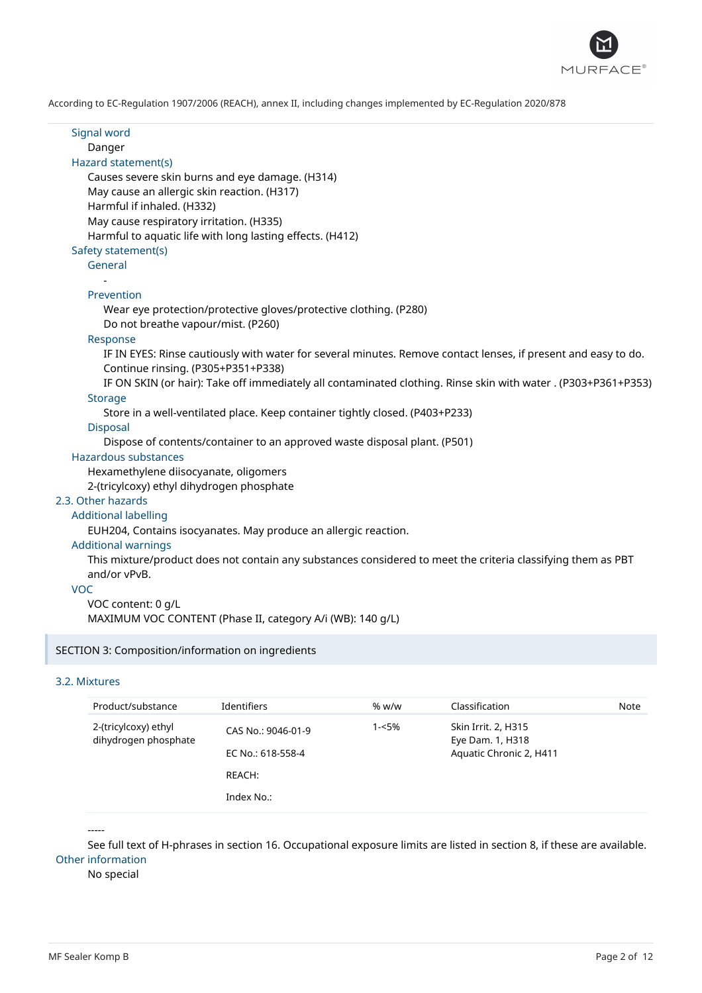

Signal word Danger Hazard statement(s) Causes severe skin burns and eye damage. (H314) May cause an allergic skin reaction. (H317) Harmful if inhaled. (H332) May cause respiratory irritation. (H335) Harmful to aquatic life with long lasting effects. (H412) Safety statement(s) General - Prevention Wear eye protection/protective gloves/protective clothing. (P280) Do not breathe vapour/mist. (P260) Response IF IN EYES: Rinse cautiously with water for several minutes. Remove contact lenses, if present and easy to do. Continue rinsing. (P305+P351+P338) IF ON SKIN (or hair): Take off immediately all contaminated clothing. Rinse skin with water . (P303+P361+P353) **Storage** Store in a well-ventilated place. Keep container tightly closed. (P403+P233) Disposal Dispose of contents/container to an approved waste disposal plant. (P501) Hazardous substances Hexamethylene diisocyanate, oligomers 2-(tricylcoxy) ethyl dihydrogen phosphate 2.3. Other hazards Additional labelling EUH204, Contains isocyanates. May produce an allergic reaction. Additional warnings This mixture/product does not contain any substances considered to meet the criteria classifying them as PBT and/or vPvB. VOC VOC content: 0 g/L MAXIMUM VOC CONTENT (Phase II, category A/i (WB): 140 g/L) SECTION 3: Composition/information on ingredients

# 3.2. Mixtures

| Product/substance                            | <b>Identifiers</b>                                | % w/w | Classification                                                     | Note |
|----------------------------------------------|---------------------------------------------------|-------|--------------------------------------------------------------------|------|
| 2-(tricylcoxy) ethyl<br>dihydrogen phosphate | CAS No.: 9046-01-9<br>EC No.: 618-558-4<br>REACH: | 1-<5% | Skin Irrit. 2, H315<br>Eye Dam. 1, H318<br>Aquatic Chronic 2, H411 |      |
|                                              | Index No.:                                        |       |                                                                    |      |

-----

See full text of H-phrases in section 16. Occupational exposure limits are listed in section 8, if these are available. Other information

No special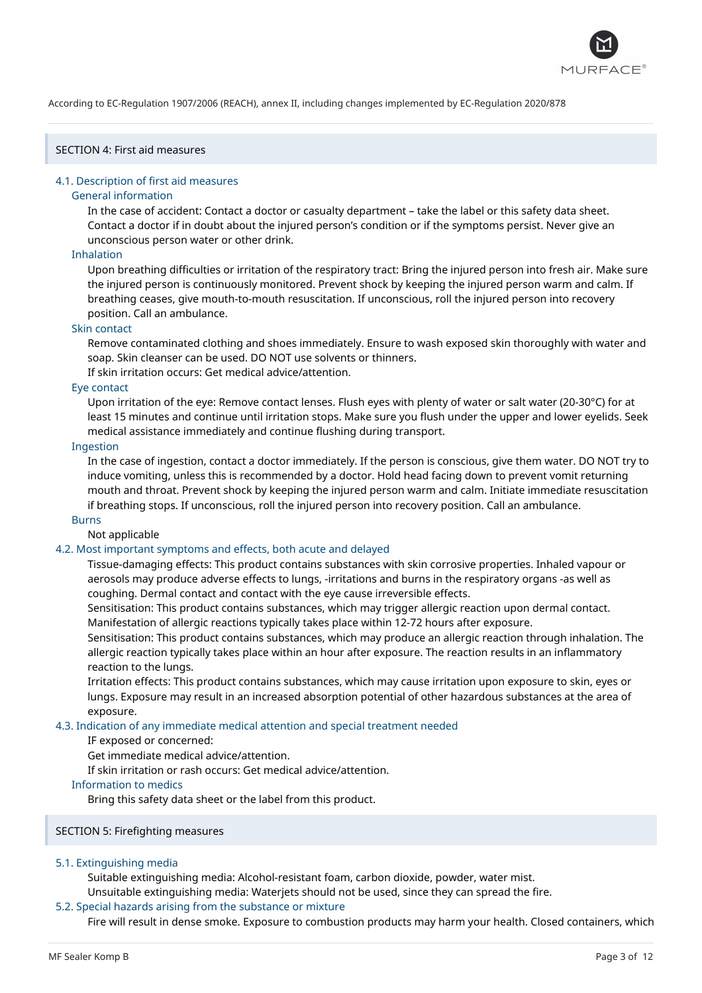

# SECTION 4: First aid measures

### 4.1. Description of first aid measures

#### General information

In the case of accident: Contact a doctor or casualty department – take the label or this safety data sheet. Contact a doctor if in doubt about the injured person's condition or if the symptoms persist. Never give an unconscious person water or other drink.

### Inhalation

Upon breathing difficulties or irritation of the respiratory tract: Bring the injured person into fresh air. Make sure the injured person is continuously monitored. Prevent shock by keeping the injured person warm and calm. If breathing ceases, give mouth-to-mouth resuscitation. If unconscious, roll the injured person into recovery position. Call an ambulance.

### Skin contact

Remove contaminated clothing and shoes immediately. Ensure to wash exposed skin thoroughly with water and soap. Skin cleanser can be used. DO NOT use solvents or thinners.

If skin irritation occurs: Get medical advice/attention.

### Eye contact

Upon irritation of the eye: Remove contact lenses. Flush eyes with plenty of water or salt water (20-30°C) for at least 15 minutes and continue until irritation stops. Make sure you flush under the upper and lower eyelids. Seek medical assistance immediately and continue flushing during transport.

### Ingestion

In the case of ingestion, contact a doctor immediately. If the person is conscious, give them water. DO NOT try to induce vomiting, unless this is recommended by a doctor. Hold head facing down to prevent vomit returning mouth and throat. Prevent shock by keeping the injured person warm and calm. Initiate immediate resuscitation if breathing stops. If unconscious, roll the injured person into recovery position. Call an ambulance.

#### Burns

Not applicable

# 4.2. Most important symptoms and effects, both acute and delayed

Tissue-damaging effects: This product contains substances with skin corrosive properties. Inhaled vapour or aerosols may produce adverse effects to lungs, -irritations and burns in the respiratory organs -as well as coughing. Dermal contact and contact with the eye cause irreversible effects.

Sensitisation: This product contains substances, which may trigger allergic reaction upon dermal contact. Manifestation of allergic reactions typically takes place within 12-72 hours after exposure.

Sensitisation: This product contains substances, which may produce an allergic reaction through inhalation. The allergic reaction typically takes place within an hour after exposure. The reaction results in an inflammatory reaction to the lungs.

Irritation effects: This product contains substances, which may cause irritation upon exposure to skin, eyes or lungs. Exposure may result in an increased absorption potential of other hazardous substances at the area of exposure.

#### 4.3. Indication of any immediate medical attention and special treatment needed

# IF exposed or concerned:

Get immediate medical advice/attention.

If skin irritation or rash occurs: Get medical advice/attention.

### Information to medics

Bring this safety data sheet or the label from this product.

# SECTION 5: Firefighting measures

### 5.1. Extinguishing media

Suitable extinguishing media: Alcohol-resistant foam, carbon dioxide, powder, water mist. Unsuitable extinguishing media: Waterjets should not be used, since they can spread the fire.

#### 5.2. Special hazards arising from the substance or mixture

Fire will result in dense smoke. Exposure to combustion products may harm your health. Closed containers, which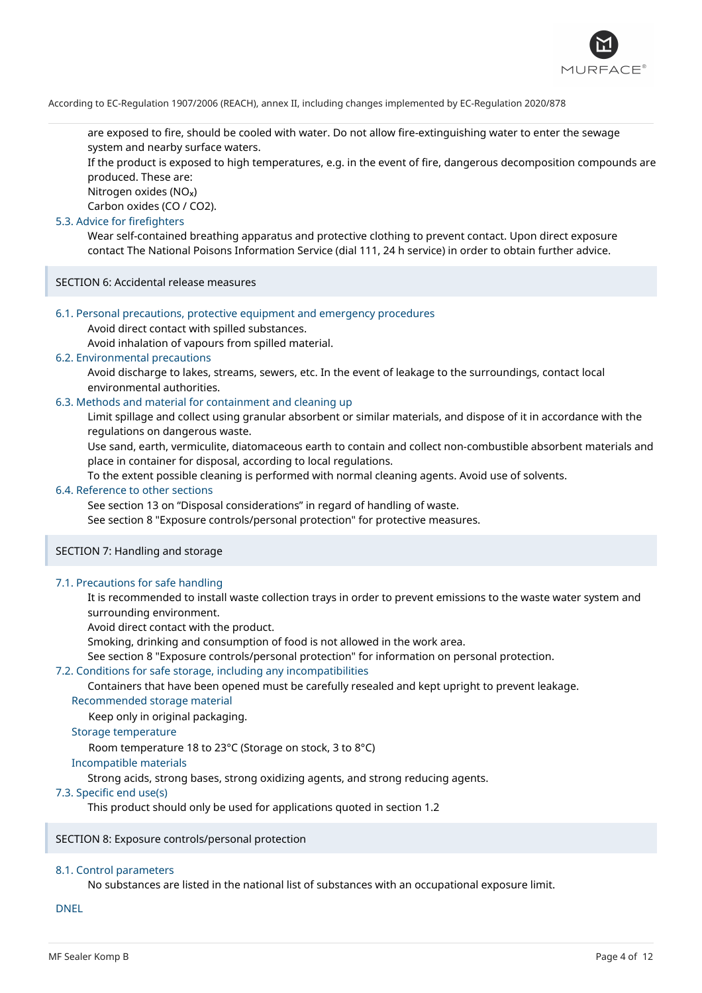

are exposed to fire, should be cooled with water. Do not allow fire-extinguishing water to enter the sewage system and nearby surface waters.

If the product is exposed to high temperatures, e.g. in the event of fire, dangerous decomposition compounds are produced. These are:

Nitrogen oxides (NOₓ)

Carbon oxides (CO / CO2).

### 5.3. Advice for firefighters

Wear self-contained breathing apparatus and protective clothing to prevent contact. Upon direct exposure contact The National Poisons Information Service (dial 111, 24 h service) in order to obtain further advice.

SECTION 6: Accidental release measures

### 6.1. Personal precautions, protective equipment and emergency procedures

Avoid direct contact with spilled substances.

Avoid inhalation of vapours from spilled material.

# 6.2. Environmental precautions

Avoid discharge to lakes, streams, sewers, etc. In the event of leakage to the surroundings, contact local environmental authorities.

### 6.3. Methods and material for containment and cleaning up

Limit spillage and collect using granular absorbent or similar materials, and dispose of it in accordance with the regulations on dangerous waste.

Use sand, earth, vermiculite, diatomaceous earth to contain and collect non-combustible absorbent materials and place in container for disposal, according to local regulations.

To the extent possible cleaning is performed with normal cleaning agents. Avoid use of solvents.

# 6.4. Reference to other sections

See section 13 on "Disposal considerations" in regard of handling of waste.

See section 8 "Exposure controls/personal protection" for protective measures.

### SECTION 7: Handling and storage

### 7.1. Precautions for safe handling

It is recommended to install waste collection trays in order to prevent emissions to the waste water system and surrounding environment.

Avoid direct contact with the product.

Smoking, drinking and consumption of food is not allowed in the work area.

See section 8 "Exposure controls/personal protection" for information on personal protection.

### 7.2. Conditions for safe storage, including any incompatibilities

Containers that have been opened must be carefully resealed and kept upright to prevent leakage.

Recommended storage material

Keep only in original packaging.

### Storage temperature

Room temperature 18 to 23°C (Storage on stock, 3 to 8°C)

### Incompatible materials

Strong acids, strong bases, strong oxidizing agents, and strong reducing agents.

# 7.3. Specific end use(s)

This product should only be used for applications quoted in section 1.2

SECTION 8: Exposure controls/personal protection

### 8.1. Control parameters

No substances are listed in the national list of substances with an occupational exposure limit.

DNEL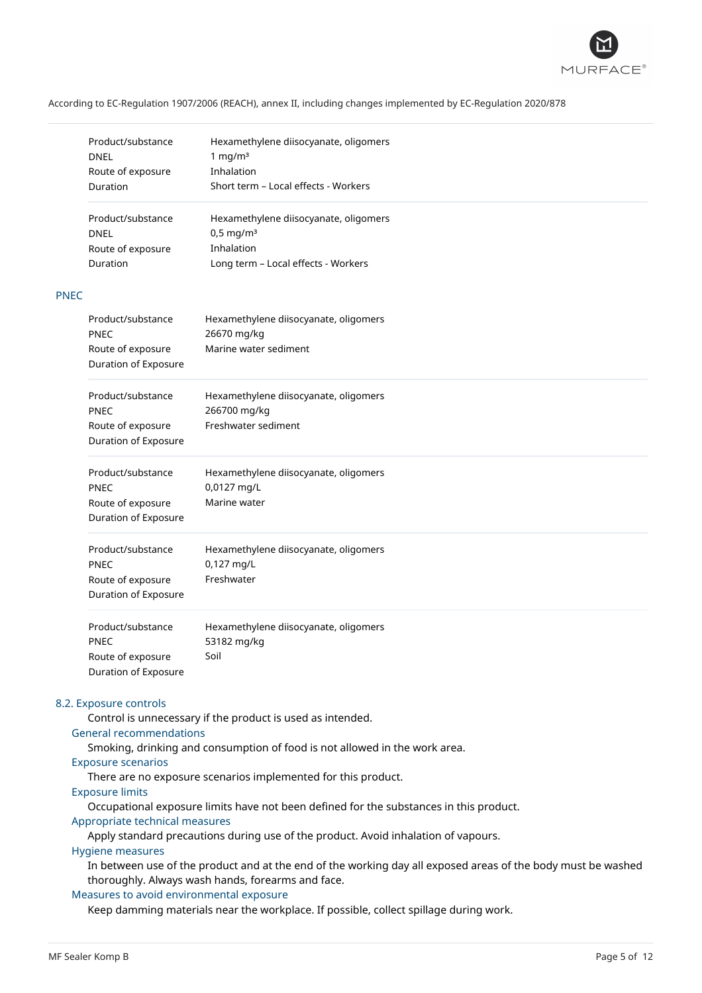

|                   | Product/substance                         | Hexamethylene diisocyanate, oligomers |
|-------------------|-------------------------------------------|---------------------------------------|
|                   | <b>DNEL</b>                               | 1 mg/ $m3$                            |
|                   | Route of exposure                         | Inhalation                            |
|                   | Duration                                  | Short term - Local effects - Workers  |
|                   | Product/substance                         | Hexamethylene diisocyanate, oligomers |
|                   | <b>DNEL</b>                               | $0,5$ mg/m <sup>3</sup>               |
|                   | Route of exposure                         | Inhalation                            |
|                   | Duration                                  | Long term - Local effects - Workers   |
| <b>PNEC</b>       |                                           |                                       |
|                   | Product/substance                         | Hexamethylene diisocyanate, oligomers |
|                   | PNEC<br>Route of exposure                 | 26670 mg/kg<br>Marine water sediment  |
|                   | Duration of Exposure                      |                                       |
| Product/substance |                                           | Hexamethylene diisocyanate, oligomers |
|                   | <b>PNEC</b>                               | 266700 mg/kg                          |
|                   | Route of exposure                         | Freshwater sediment                   |
|                   | Duration of Exposure                      |                                       |
|                   | Product/substance                         | Hexamethylene diisocyanate, oligomers |
|                   | <b>PNEC</b>                               | 0,0127 mg/L                           |
|                   | Route of exposure                         | Marine water                          |
|                   | Duration of Exposure                      |                                       |
|                   | Product/substance                         | Hexamethylene diisocyanate, oligomers |
|                   | PNEC                                      | 0,127 mg/L                            |
|                   | Route of exposure                         | Freshwater                            |
|                   | Duration of Exposure                      |                                       |
|                   | Product/substance                         | Hexamethylene diisocyanate, oligomers |
|                   | PNEC                                      | 53182 mg/kg                           |
|                   | Route of exposure<br>Duration of Exposure | Soil                                  |

### 8.2. Exposure controls

Control is unnecessary if the product is used as intended.

# General recommendations

Smoking, drinking and consumption of food is not allowed in the work area.

### Exposure scenarios

There are no exposure scenarios implemented for this product.

### Exposure limits

Occupational exposure limits have not been defined for the substances in this product.

# Appropriate technical measures

Apply standard precautions during use of the product. Avoid inhalation of vapours.

### Hygiene measures

In between use of the product and at the end of the working day all exposed areas of the body must be washed thoroughly. Always wash hands, forearms and face.

### Measures to avoid environmental exposure

Keep damming materials near the workplace. If possible, collect spillage during work.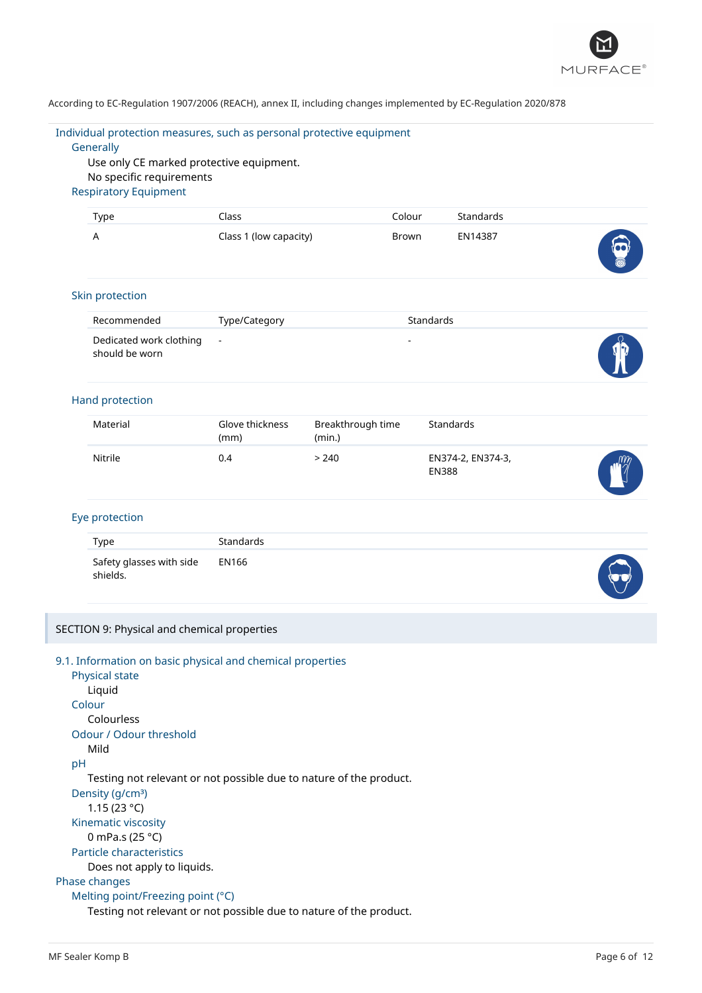

Individual protection measures, such as personal protective equipment

# **Generally**

Use only CE marked protective equipment. No specific requirements Respiratory Equipment

| Type                    | Class                  | Colour    | <b>Standards</b> |   |
|-------------------------|------------------------|-----------|------------------|---|
| A                       | Class 1 (low capacity) | Brown     | EN14387          | 0 |
| Skin protection         |                        |           |                  |   |
| Recommended             | Type/Category          | Standards |                  |   |
| Dodicated work clothing |                        |           |                  |   |

| Dedicated work clothing -<br>should be worn | - | db |
|---------------------------------------------|---|----|
|                                             |   |    |

# Hand protection

| Material | Glove thickness<br>(mm) | Breakthrough time<br>(min.) | Standards                         |            |
|----------|-------------------------|-----------------------------|-----------------------------------|------------|
| Nitrile  | 0.4                     | > 240                       | EN374-2, EN374-3,<br><b>EN388</b> | $\sqrt{m}$ |

# Eye protection

| Type                                       | Standards |  |
|--------------------------------------------|-----------|--|
| Safety glasses with side EN166<br>shields. |           |  |

# SECTION 9: Physical and chemical properties

| 9.1. Information on basic physical and chemical properties         |
|--------------------------------------------------------------------|
| Physical state                                                     |
| Liquid                                                             |
| Colour                                                             |
| Colourless                                                         |
| Odour / Odour threshold                                            |
| Mild                                                               |
| рH                                                                 |
| Testing not relevant or not possible due to nature of the product. |
| Density (g/cm <sup>3</sup> )                                       |
| 1.15 (23 °C)                                                       |
| Kinematic viscosity                                                |
| 0 mPa.s (25 $^{\circ}$ C)                                          |
| <b>Particle characteristics</b>                                    |
| Does not apply to liquids.                                         |
| Phase changes                                                      |
| Melting point/Freezing point $(°C)$                                |
| Testing not relevant or not possible due to nature of the product. |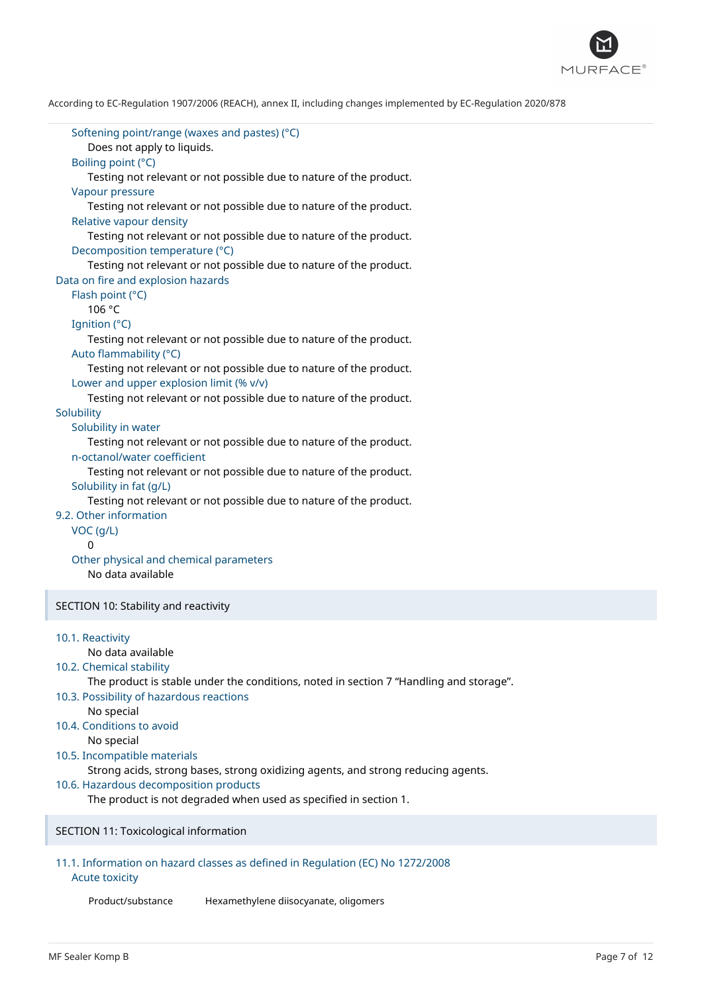

Softening point/range (waxes and pastes) (°C) Does not apply to liquids. Boiling point (°C) Testing not relevant or not possible due to nature of the product. Vapour pressure Testing not relevant or not possible due to nature of the product. Relative vapour density Testing not relevant or not possible due to nature of the product. Decomposition temperature (°C) Testing not relevant or not possible due to nature of the product. Data on fire and explosion hazards Flash point (°C) 106 °C Ignition (°C) Testing not relevant or not possible due to nature of the product. Auto flammability (°C) Testing not relevant or not possible due to nature of the product. Lower and upper explosion limit (% v/v) Testing not relevant or not possible due to nature of the product. **Solubility** Solubility in water Testing not relevant or not possible due to nature of the product. n-octanol/water coefficient Testing not relevant or not possible due to nature of the product. Solubility in fat (g/L) Testing not relevant or not possible due to nature of the product. 9.2. Other information VOC (g/L)  $\Omega$ Other physical and chemical parameters No data available SECTION 10: Stability and reactivity 10.1. Reactivity No data available 10.2. Chemical stability The product is stable under the conditions, noted in section 7 "Handling and storage". 10.3. Possibility of hazardous reactions No special 10.4. Conditions to avoid No special 10.5. Incompatible materials Strong acids, strong bases, strong oxidizing agents, and strong reducing agents. 10.6. Hazardous decomposition products The product is not degraded when used as specified in section 1. SECTION 11: Toxicological information 11.1. Information on hazard classes as defined in Regulation (EC) No 1272/2008

#### Acute toxicity

Product/substance Hexamethylene diisocyanate, oligomers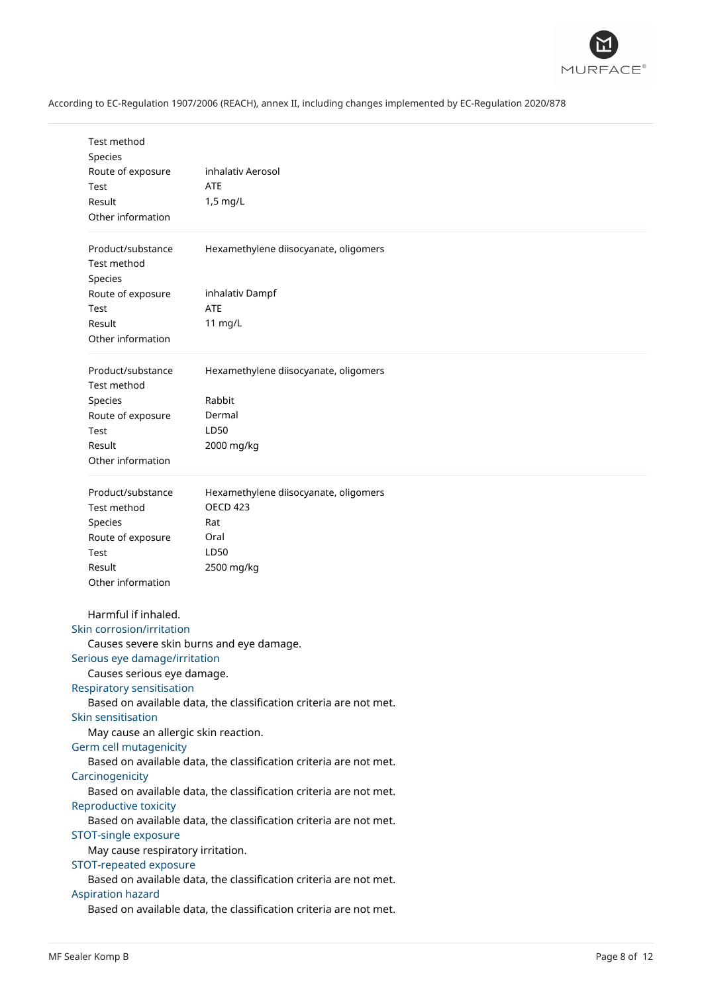

| Test method<br>Species<br>Route of exposure<br>Test<br>Result<br>Other information | inhalativ Aerosol<br><b>ATE</b><br>1,5 mg/L                       |
|------------------------------------------------------------------------------------|-------------------------------------------------------------------|
| Product/substance<br>Test method<br>Species                                        | Hexamethylene diisocyanate, oligomers                             |
| Route of exposure<br>Test<br>Result                                                | inhalativ Dampf<br><b>ATE</b><br>11 mg/L                          |
| Other information                                                                  |                                                                   |
| Product/substance<br>Test method                                                   | Hexamethylene diisocyanate, oligomers                             |
| Species                                                                            | Rabbit                                                            |
| Route of exposure                                                                  | Dermal                                                            |
| Test                                                                               | LD50                                                              |
| Result<br>Other information                                                        | 2000 mg/kg                                                        |
| Product/substance                                                                  | Hexamethylene diisocyanate, oligomers                             |
| Test method                                                                        | <b>OECD 423</b>                                                   |
| Species                                                                            | Rat                                                               |
| Route of exposure                                                                  | Oral                                                              |
| Test                                                                               | LD50                                                              |
| Result<br>Other information                                                        | 2500 mg/kg                                                        |
| Harmful if inhaled.                                                                |                                                                   |
| <b>Skin corrosion/irritation</b>                                                   |                                                                   |
|                                                                                    | Causes severe skin burns and eye damage.                          |
| Serious eye damage/irritation                                                      |                                                                   |
| Causes serious eye damage.                                                         |                                                                   |
| <b>Respiratory sensitisation</b>                                                   |                                                                   |
|                                                                                    | Based on available data, the classification criteria are not met. |
| <b>Skin sensitisation</b>                                                          |                                                                   |
| May cause an allergic skin reaction.                                               |                                                                   |
| Germ cell mutagenicity                                                             | Based on available data, the classification criteria are not met. |
| Carcinogenicity                                                                    |                                                                   |
|                                                                                    | Based on available data, the classification criteria are not met. |
| <b>Reproductive toxicity</b>                                                       |                                                                   |
|                                                                                    | Based on available data, the classification criteria are not met. |
| <b>STOT-single exposure</b>                                                        |                                                                   |
| May cause respiratory irritation.                                                  |                                                                   |
| <b>STOT-repeated exposure</b>                                                      |                                                                   |
|                                                                                    | Based on available data, the classification criteria are not met. |
| <b>Aspiration hazard</b>                                                           |                                                                   |
|                                                                                    | Based on available data, the classification criteria are not met. |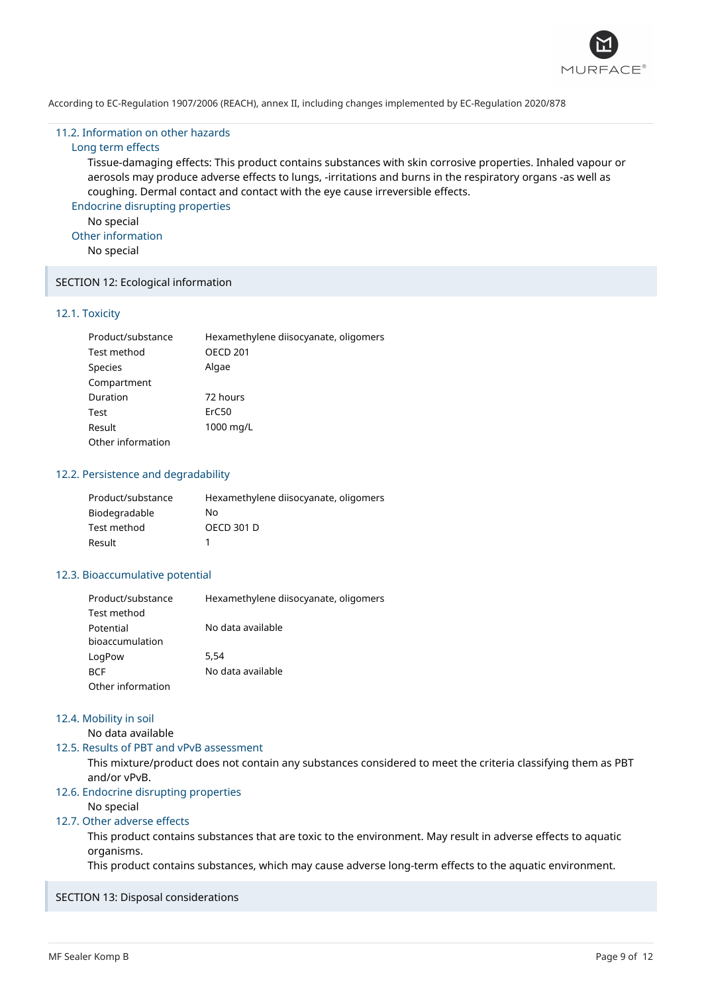

#### 11.2. Information on other hazards

# Long term effects

Tissue-damaging effects: This product contains substances with skin corrosive properties. Inhaled vapour or aerosols may produce adverse effects to lungs, -irritations and burns in the respiratory organs -as well as coughing. Dermal contact and contact with the eye cause irreversible effects.

Endocrine disrupting properties No special Other information

No special

# SECTION 12: Ecological information

#### 12.1. Toxicity

| Product/substance | Hexamethylene diisocyanate, oligomers |
|-------------------|---------------------------------------|
| Test method       | <b>OECD 201</b>                       |
| Species           | Algae                                 |
| Compartment       |                                       |
| Duration          | 72 hours                              |
| Test              | ErC50                                 |
| Result            | 1000 mg/L                             |
| Other information |                                       |

### 12.2. Persistence and degradability

| Product/substance | Hexamethylene diisocyanate, oligomers |
|-------------------|---------------------------------------|
| Biodegradable     | No.                                   |
| Test method       | OECD 301 D                            |
| Result            |                                       |

### 12.3. Bioaccumulative potential

| Product/substance | Hexamethylene diisocyanate, oligomers |
|-------------------|---------------------------------------|
| Test method       |                                       |
| Potential         | No data available                     |
| bioaccumulation   |                                       |
| LogPow            | 5.54                                  |
| <b>BCF</b>        | No data available                     |
| Other information |                                       |

# 12.4. Mobility in soil

No data available

### 12.5. Results of PBT and vPvB assessment

This mixture/product does not contain any substances considered to meet the criteria classifying them as PBT and/or vPvB.

# 12.6. Endocrine disrupting properties

No special

# 12.7. Other adverse effects

This product contains substances that are toxic to the environment. May result in adverse effects to aquatic organisms.

This product contains substances, which may cause adverse long-term effects to the aquatic environment.

### SECTION 13: Disposal considerations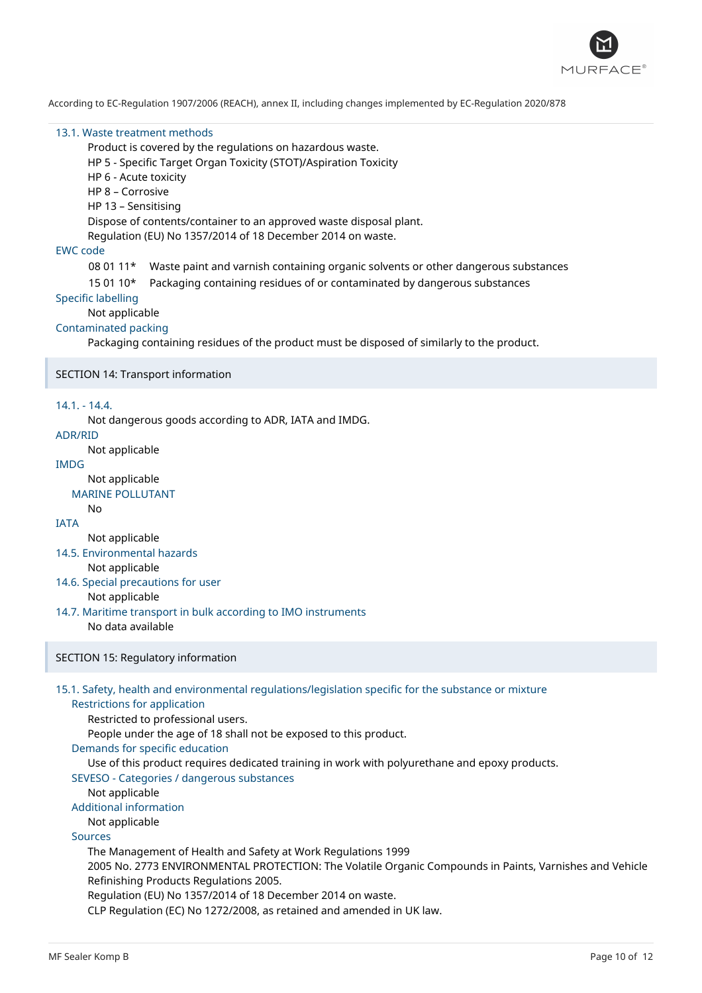

#### 13.1. Waste treatment methods

Product is covered by the regulations on hazardous waste.

HP 5 - Specific Target Organ Toxicity (STOT)/Aspiration Toxicity

HP 6 - Acute toxicity

HP 8 – Corrosive

HP 13 – Sensitising

Dispose of contents/container to an approved waste disposal plant.

Regulation (EU) No 1357/2014 of 18 December 2014 on waste.

### EWC code

- 08 01 11\* Waste paint and varnish containing organic solvents or other dangerous substances
- 15 01 10\* Packaging containing residues of or contaminated by dangerous substances

### Specific labelling

Not applicable

# Contaminated packing

Packaging containing residues of the product must be disposed of similarly to the product.

### SECTION 14: Transport information

### 14.1. - 14.4.

Not dangerous goods according to ADR, IATA and IMDG.

### ADR/RID

Not applicable

# IMDG

Not applicable

MARINE POLLUTANT

#### No IATA

Not applicable

### 14.5. Environmental hazards

Not applicable

### 14.6. Special precautions for user

### Not applicable

- 14.7. Maritime transport in bulk according to IMO instruments
	- No data available

### SECTION 15: Regulatory information

# 15.1. Safety, health and environmental regulations/legislation specific for the substance or mixture

Restrictions for application

Restricted to professional users.

People under the age of 18 shall not be exposed to this product.

# Demands for specific education

Use of this product requires dedicated training in work with polyurethane and epoxy products.

# SEVESO - Categories / dangerous substances

Not applicable

# Additional information

Not applicable

### Sources

The Management of Health and Safety at Work Regulations 1999

2005 No. 2773 ENVIRONMENTAL PROTECTION: The Volatile Organic Compounds in Paints, Varnishes and Vehicle Refinishing Products Regulations 2005.

Regulation (EU) No 1357/2014 of 18 December 2014 on waste.

CLP Regulation (EC) No 1272/2008, as retained and amended in UK law.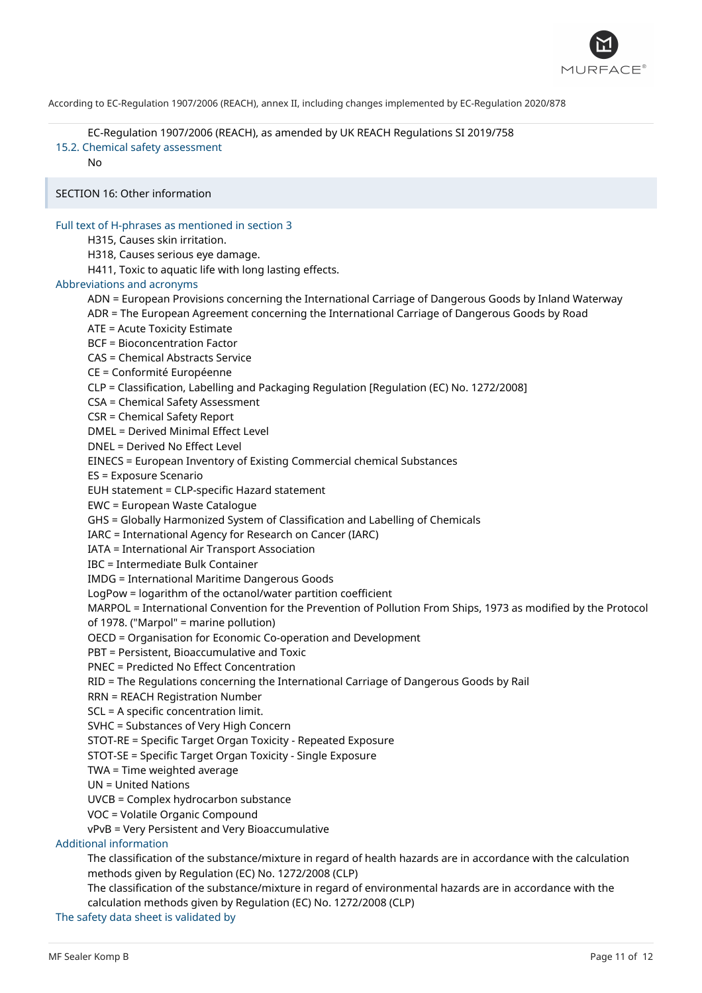

EC-Regulation 1907/2006 (REACH), as amended by UK REACH Regulations SI 2019/758 15.2. Chemical safety assessment

No

SECTION 16: Other information

### Full text of H-phrases as mentioned in section 3

H315, Causes skin irritation.

H318, Causes serious eye damage.

H411, Toxic to aquatic life with long lasting effects.

### Abbreviations and acronyms

ADN = European Provisions concerning the International Carriage of Dangerous Goods by Inland Waterway

ADR = The European Agreement concerning the International Carriage of Dangerous Goods by Road

ATE = Acute Toxicity Estimate

BCF = Bioconcentration Factor

CAS = Chemical Abstracts Service

CE = Conformité Européenne

CLP = Classification, Labelling and Packaging Regulation [Regulation (EC) No. 1272/2008]

CSA = Chemical Safety Assessment

CSR = Chemical Safety Report

DMEL = Derived Minimal Effect Level

DNEL = Derived No Effect Level

EINECS = European Inventory of Existing Commercial chemical Substances

ES = Exposure Scenario

EUH statement = CLP-specific Hazard statement

EWC = European Waste Catalogue

GHS = Globally Harmonized System of Classification and Labelling of Chemicals

IARC = International Agency for Research on Cancer (IARC)

IATA = International Air Transport Association

IBC = Intermediate Bulk Container

IMDG = International Maritime Dangerous Goods

LogPow = logarithm of the octanol/water partition coefficient

MARPOL = International Convention for the Prevention of Pollution From Ships, 1973 as modified by the Protocol of 1978. ("Marpol" = marine pollution)

OECD = Organisation for Economic Co-operation and Development

PBT = Persistent, Bioaccumulative and Toxic

PNEC = Predicted No Effect Concentration

RID = The Regulations concerning the International Carriage of Dangerous Goods by Rail

RRN = REACH Registration Number

SCL = A specific concentration limit.

SVHC = Substances of Very High Concern

STOT-RE = Specific Target Organ Toxicity - Repeated Exposure

STOT-SE = Specific Target Organ Toxicity - Single Exposure

TWA = Time weighted average

UN = United Nations

UVCB = Complex hydrocarbon substance

VOC = Volatile Organic Compound

vPvB = Very Persistent and Very Bioaccumulative

Additional information

The classification of the substance/mixture in regard of health hazards are in accordance with the calculation methods given by Regulation (EC) No. 1272/2008 (CLP)

The classification of the substance/mixture in regard of environmental hazards are in accordance with the calculation methods given by Regulation (EC) No. 1272/2008 (CLP)

The safety data sheet is validated by